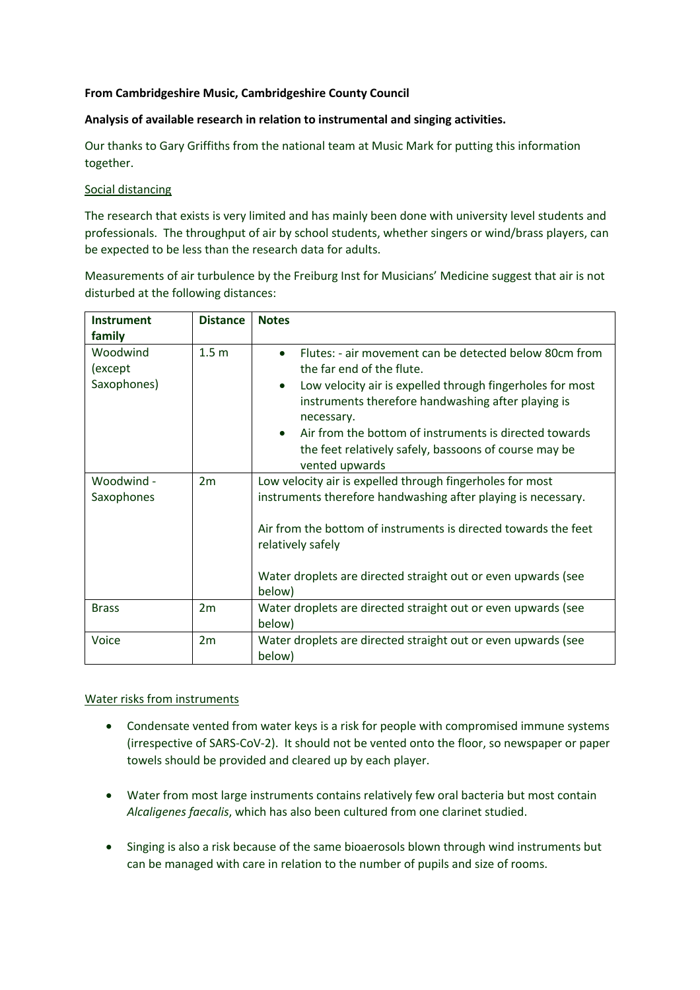# **From Cambridgeshire Music, Cambridgeshire County Council**

# **Analysis of available research in relation to instrumental and singing activities.**

Our thanks to Gary Griffiths from the national team at Music Mark for putting this information together.

### Social distancing

The research that exists is very limited and has mainly been done with university level students and professionals. The throughput of air by school students, whether singers or wind/brass players, can be expected to be less than the research data for adults.

Measurements of air turbulence by the Freiburg Inst for Musicians' Medicine suggest that air is not disturbed at the following distances:

| <b>Instrument</b>                  | <b>Distance</b>  | <b>Notes</b>                                                                                                                                                                                                                                                                                                                                                                                     |
|------------------------------------|------------------|--------------------------------------------------------------------------------------------------------------------------------------------------------------------------------------------------------------------------------------------------------------------------------------------------------------------------------------------------------------------------------------------------|
| family                             |                  |                                                                                                                                                                                                                                                                                                                                                                                                  |
| Woodwind<br>(except<br>Saxophones) | 1.5 <sub>m</sub> | Flutes: - air movement can be detected below 80cm from<br>$\bullet$<br>the far end of the flute.<br>Low velocity air is expelled through fingerholes for most<br>$\bullet$<br>instruments therefore handwashing after playing is<br>necessary.<br>Air from the bottom of instruments is directed towards<br>$\bullet$<br>the feet relatively safely, bassoons of course may be<br>vented upwards |
| Woodwind -<br>Saxophones           | 2m               | Low velocity air is expelled through fingerholes for most<br>instruments therefore handwashing after playing is necessary.<br>Air from the bottom of instruments is directed towards the feet<br>relatively safely<br>Water droplets are directed straight out or even upwards (see<br>below)                                                                                                    |
| <b>Brass</b>                       | 2m               | Water droplets are directed straight out or even upwards (see<br>below)                                                                                                                                                                                                                                                                                                                          |
| Voice                              | 2m               | Water droplets are directed straight out or even upwards (see<br>below)                                                                                                                                                                                                                                                                                                                          |

### Water risks from instruments

- Condensate vented from water keys is a risk for people with compromised immune systems (irrespective of SARS-CoV-2). It should not be vented onto the floor, so newspaper or paper towels should be provided and cleared up by each player.
- Water from most large instruments contains relatively few oral bacteria but most contain *Alcaligenes faecalis*, which has also been cultured from one clarinet studied.
- Singing is also a risk because of the same bioaerosols blown through wind instruments but can be managed with care in relation to the number of pupils and size of rooms.